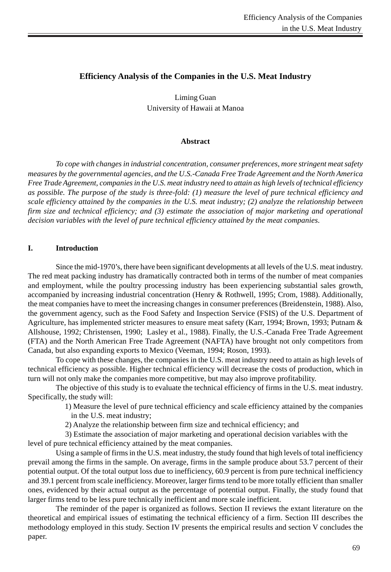# **Efficiency Analysis of the Companies in the U.S. Meat Industry**

Liming Guan University of Hawaii at Manoa

# **Abstract**

*To cope with changes in industrial concentration, consumer preferences, more stringent meat safety measures by the governmental agencies, and the U.S.-Canada Free Trade Agreement and the North America Free Trade Agreement, companies in the U.S. meat industry need to attain as high levels of technical efficiency as possible. The purpose of the study is three-fold: (1) measure the level of pure technical efficiency and scale efficiency attained by the companies in the U.S. meat industry; (2) analyze the relationship between firm size and technical efficiency; and (3) estimate the association of major marketing and operational decision variables with the level of pure technical efficiency attained by the meat companies*.

# **I. Introduction**

Since the mid-1970's, there have been significant developments at all levels of the U.S. meat industry. The red meat packing industry has dramatically contracted both in terms of the number of meat companies and employment, while the poultry processing industry has been experiencing substantial sales growth, accompanied by increasing industrial concentration (Henry & Rothwell, 1995; Crom, 1988). Additionally, the meat companies have to meet the increasing changes in consumer preferences (Breidenstein, 1988). Also, the government agency, such as the Food Safety and Inspection Service (FSIS) of the U.S. Department of Agriculture, has implemented stricter measures to ensure meat safety (Karr, 1994; Brown, 1993; Putnam & Allshouse, 1992; Christensen, 1990; Lasley et al., 1988). Finally, the U.S.-Canada Free Trade Agreement (FTA) and the North American Free Trade Agreement (NAFTA) have brought not only competitors from Canada, but also expanding exports to Mexico (Veeman, 1994; Roson, 1993).

To cope with these changes, the companies in the U.S. meat industry need to attain as high levels of technical efficiency as possible. Higher technical efficiency will decrease the costs of production, which in turn will not only make the companies more competitive, but may also improve profitability.

The objective of this study is to evaluate the technical efficiency of firms in the U.S. meat industry. Specifically, the study will:

 1) Measure the level of pure technical efficiency and scale efficiency attained by the companies in the U.S. meat industry;

2) Analyze the relationship between firm size and technical efficiency; and

 3) Estimate the association of major marketing and operational decision variables with the level of pure technical efficiency attained by the meat companies.

Using a sample of firms in the U.S. meat industry, the study found that high levels of total inefficiency prevail among the firms in the sample. On average, firms in the sample produce about 53.7 percent of their potential output. Of the total output loss due to inefficiency, 60.9 percent is from pure technical inefficiency and 39.1 percent from scale inefficiency. Moreover, larger firms tend to be more totally efficient than smaller ones, evidenced by their actual output as the percentage of potential output. Finally, the study found that larger firms tend to be less pure technically inefficient and more scale inefficient.

The reminder of the paper is organized as follows. Section II reviews the extant literature on the theoretical and empirical issues of estimating the technical efficiency of a firm. Section III describes the methodology employed in this study. Section IV presents the empirical results and section V concludes the paper.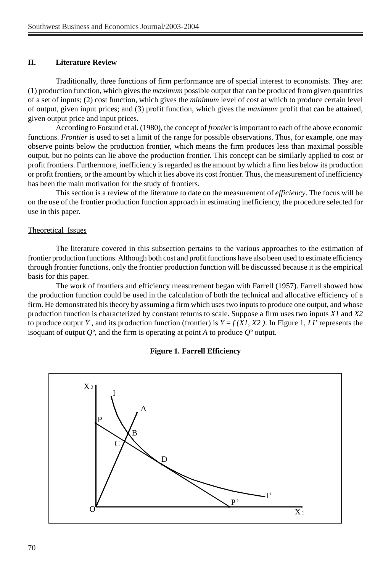# **II. Literature Review**

Traditionally, three functions of firm performance are of special interest to economists. They are: (1) production function, which gives the *maximum* possible output that can be produced from given quantities of a set of inputs; (2) cost function, which gives the *minimum* level of cost at which to produce certain level of output, given input prices; and (3) profit function, which gives the *maximum* profit that can be attained, given output price and input prices.

According to Forsund et al. (1980), the concept of *frontier* is important to each of the above economic functions. *Frontier* is used to set a limit of the range for possible observations. Thus, for example, one may observe points below the production frontier, which means the firm produces less than maximal possible output, but no points can lie above the production frontier. This concept can be similarly applied to cost or profit frontiers. Furthermore, inefficiency is regarded as the amount by which a firm lies below its production or profit frontiers, or the amount by which it lies above its cost frontier. Thus, the measurement of inefficiency has been the main motivation for the study of frontiers.

This section is a review of the literature to date on the measurement of *efficiency*. The focus will be on the use of the frontier production function approach in estimating inefficiency, the procedure selected for use in this paper.

### Theoretical Issues

The literature covered in this subsection pertains to the various approaches to the estimation of frontier production functions. Although both cost and profit functions have also been used to estimate efficiency through frontier functions, only the frontier production function will be discussed because it is the empirical basis for this paper.

The work of frontiers and efficiency measurement began with Farrell (1957). Farrell showed how the production function could be used in the calculation of both the technical and allocative efficiency of a firm. He demonstrated his theory by assuming a firm which uses two inputs to produce one output, and whose production function is characterized by constant returns to scale. Suppose a firm uses two inputs *X1* and *X2* to produce output *Y*, and its production function (frontier) is  $Y = f(XI, X2)$ . In Figure 1, *II'* represents the isoquant of output *Qº*, and the firm is operating at point *A* to produce *Qº* output.



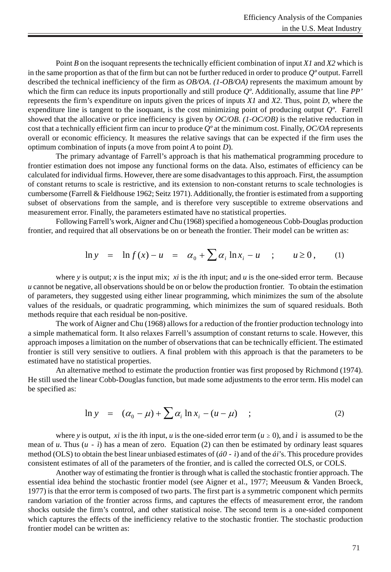Point *B* on the isoquant represents the technically efficient combination of input *X1* and *X2* which is in the same proportion as that of the firm but can not be further reduced in order to produce *Qº* output. Farrell described the technical inefficiency of the firm as *OB/OA*. *(1-OB/OA)* represents the maximum amount by which the firm can reduce its inputs proportionally and still produce *Qº*. Additionally, assume that line *PP'* represents the firm's expenditure on inputs given the prices of inputs *X1* and *X2*. Thus, point *D*, where the expenditure line is tangent to the isoquant, is the cost minimizing point of producing output *Qº*. Farrell showed that the allocative or price inefficiency is given by *OC/OB*. *(1-OC/OB)* is the relative reduction in cost that a technically efficient firm can incur to produce *Qº* at the minimum cost. Finally, *OC/OA* represents overall or economic efficiency. It measures the relative savings that can be expected if the firm uses the optimum combination of inputs (a move from point *A* to point *D*).

The primary advantage of Farrell's approach is that his mathematical programming procedure to frontier estimation does not impose any functional forms on the data. Also, estimates of efficiency can be calculated for individual firms. However, there are some disadvantages to this approach. First, the assumption of constant returns to scale is restrictive, and its extension to non-constant returns to scale technologies is cumbersome (Farrell & Fieldhouse 1962; Seitz 1971). Additionally, the frontier is estimated from a supporting subset of observations from the sample, and is therefore very susceptible to extreme observations and measurement error. Finally, the parameters estimated have no statistical properties.

Following Farrell's work, Aigner and Chu (1968) specified a homogeneous Cobb-Douglas production frontier, and required that all observations be on or beneath the frontier. Their model can be written as:

$$
\ln y = \ln f(x) - u = \alpha_0 + \sum \alpha_i \ln x_i - u \quad ; \quad u \ge 0, \quad (1)
$$

where  $y$  is output; *x* is the input mix; *xi* is the *i*th input; and  $u$  is the one-sided error term. Because *u* cannot be negative, all observations should be on or below the production frontier. To obtain the estimation of parameters, they suggested using either linear programming, which minimizes the sum of the absolute values of the residuals, or quadratic programming, which minimizes the sum of squared residuals. Both methods require that each residual be non-positive.

The work of Aigner and Chu (1968) allows for a reduction of the frontier production technology into a simple mathematical form. It also relaxes Farrell's assumption of constant returns to scale. However, this approach imposes a limitation on the number of observations that can be technically efficient. The estimated frontier is still very sensitive to outliers. A final problem with this approach is that the parameters to be estimated have no statistical properties.

An alternative method to estimate the production frontier was first proposed by Richmond (1974). He still used the linear Cobb-Douglas function, but made some adjustments to the error term. His model can be specified as:

$$
\ln y = (\alpha_0 - \mu) + \sum \alpha_i \ln x_i - (u - \mu) \quad ; \tag{2}
$$

where *y* is output, *xi* is the *i*th input, *u* is the one-sided error term ( $u \ge 0$ ), and *ì* is assumed to be the mean of  $u$ . Thus  $(u - i)$  has a mean of zero. Equation (2) can then be estimated by ordinary least squares method (OLS) to obtain the best linear unbiased estimates of (*á0 - ì*) and of the *ái*'s. This procedure provides consistent estimates of all of the parameters of the frontier, and is called the corrected OLS, or COLS.

Another way of estimating the frontier is through what is called the stochastic frontier approach. The essential idea behind the stochastic frontier model (see Aigner et al., 1977; Meeusum & Vanden Broeck, 1977) is that the error term is composed of two parts. The first part is a symmetric component which permits random variation of the frontier across firms, and captures the effects of measurement error, the random shocks outside the firm's control, and other statistical noise. The second term is a one-sided component which captures the effects of the inefficiency relative to the stochastic frontier. The stochastic production frontier model can be written as: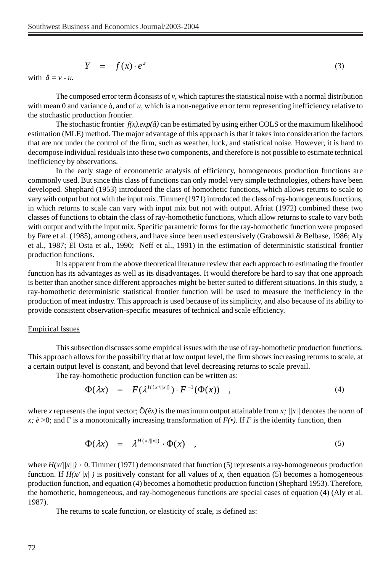$$
Y = f(x) \cdot e^{\varepsilon} \tag{3}
$$

with  $\hat{a} = v - u$ .

The composed error term *å* consists of *v*, which captures the statistical noise with a normal distribution with mean 0 and variance 6, and of *u*, which is a non-negative error term representing inefficiency relative to the stochastic production frontier.

The stochastic frontier  $f(x)$ .*exp(* $\hat{a}$ *)* can be estimated by using either COLS or the maximum likelihood estimation (MLE) method. The major advantage of this approach is that it takes into consideration the factors that are not under the control of the firm, such as weather, luck, and statistical noise. However, it is hard to decompose individual residuals into these two components, and therefore is not possible to estimate technical inefficiency by observations.

In the early stage of econometric analysis of efficiency, homogeneous production functions are commonly used. But since this class of functions can only model very simple technologies, others have been developed. Shephard (1953) introduced the class of homothetic functions, which allows returns to scale to vary with output but not with the input mix. Timmer (1971) introduced the class of ray-homogeneous functions, in which returns to scale can vary with input mix but not with output. Afriat (1972) combined these two classes of functions to obtain the class of ray-homothetic functions, which allow returns to scale to vary both with output and with the input mix. Specific parametric forms for the ray-homothetic function were proposed by Fare et al. (1985), among others, and have since been used extensively (Grabowski & Belbase, 1986; Aly et al., 1987; El Osta et al., 1990; Neff et al., 1991) in the estimation of deterministic statistical frontier production functions.

It is apparent from the above theoretical literature review that each approach to estimating the frontier function has its advantages as well as its disadvantages. It would therefore be hard to say that one approach is better than another since different approaches might be better suited to different situations. In this study, a ray-homothetic deterministic statistical frontier function will be used to measure the inefficiency in the production of meat industry. This approach is used because of its simplicity, and also because of its ability to provide consistent observation-specific measures of technical and scale efficiency.

#### Empirical Issues

This subsection discusses some empirical issues with the use of ray-homothetic production functions. This approach allows for the possibility that at low output level, the firm shows increasing returns to scale, at a certain output level is constant, and beyond that level decreasing returns to scale prevail.

The ray-homothetic production function can be written as:

$$
\Phi(\lambda x) = F(\lambda^{H(x/\Vert x \Vert)}) \cdot F^{-1}(\Phi(x)) \quad , \tag{4}
$$

where *x* represents the input vector;  $\ddot{O}(\ddot{e}x)$  is the maximum output attainable from *x*;  $/|x|/$  denotes the norm of *x; ë* >0; and F is a monotonically increasing transformation of  $F(\cdot)$ . If F is the identity function, then

$$
\Phi(\lambda x) = \lambda^{H(x/\|x\|)} \cdot \Phi(x) \quad , \tag{5}
$$

where  $H(x/||x||) \ge 0$ . Timmer (1971) demonstrated that function (5) represents a ray-homogeneous production function. If  $H(x/||x||)$  is positively constant for all values of x, then equation (5) becomes a homogeneous production function, and equation (4) becomes a homothetic production function (Shephard 1953). Therefore, the homothetic, homogeneous, and ray-homogeneous functions are special cases of equation (4) (Aly et al. 1987).

The returns to scale function, or elasticity of scale, is defined as: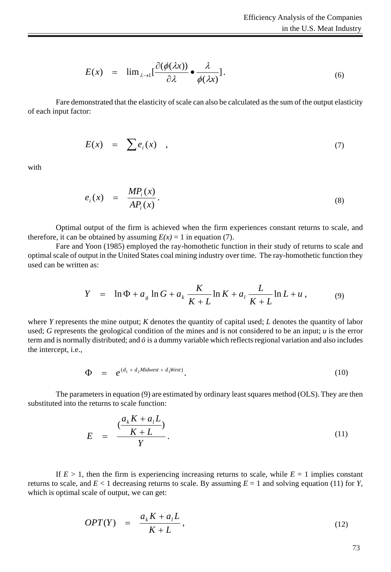$$
E(x) = \lim_{\lambda \to 1} \left[ \frac{\partial (\phi(\lambda x))}{\partial \lambda} \bullet \frac{\lambda}{\phi(\lambda x)} \right].
$$
 (6)

Fare demonstrated that the elasticity of scale can also be calculated as the sum of the output elasticity of each input factor:

$$
E(x) = \sum e_i(x) , \qquad (7)
$$

with

$$
e_i(x) = \frac{MP_i(x)}{AP_i(x)}.
$$
\n(8)

Optimal output of the firm is achieved when the firm experiences constant returns to scale, and therefore, it can be obtained by assuming  $E(x) = 1$  in equation (7).

Fare and Yoon (1985) employed the ray-homothetic function in their study of returns to scale and optimal scale of output in the United States coal mining industry over time. The ray-homothetic function they used can be written as:

$$
Y = \ln \Phi + a_g \ln G + a_k \frac{K}{K+L} \ln K + a_l \frac{L}{K+L} \ln L + u, \tag{9}
$$

where *Y* represents the mine output; *K* denotes the quantity of capital used; *L* denotes the quantity of labor used; *G* represents the geological condition of the mines and is not considered to be an input; *u* is the error term and is normally distributed; and *ö* is a dummy variable which reflects regional variation and also includes the intercept, i.e.,

$$
\Phi = e^{(d_1 + d_2 \textit{Midwest} + d_3 \textit{West})}.
$$
\n(10)

The parameters in equation (9) are estimated by ordinary least squares method (OLS). They are then substituted into the returns to scale function:

$$
E = \frac{\left(\frac{a_k K + a_l L}{K + L}\right)}{Y}.
$$
\n(11)

If  $E > 1$ , then the firm is experiencing increasing returns to scale, while  $E = 1$  implies constant returns to scale, and  $E < 1$  decreasing returns to scale. By assuming  $E = 1$  and solving equation (11) for *Y*, which is optimal scale of output, we can get:

$$
OPT(Y) = \frac{a_k K + a_l L}{K + L}, \qquad (12)
$$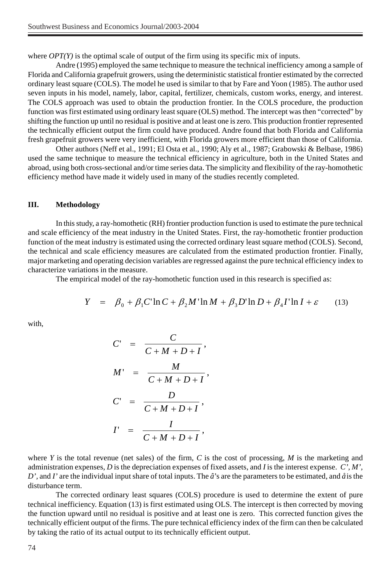where *OPT(Y)* is the optimal scale of output of the firm using its specific mix of inputs.

Andre (1995) employed the same technique to measure the technical inefficiency among a sample of Florida and California grapefruit growers, using the deterministic statistical frontier estimated by the corrected ordinary least square (COLS). The model he used is similar to that by Fare and Yoon (1985). The author used seven inputs in his model, namely, labor, capital, fertilizer, chemicals, custom works, energy, and interest. The COLS approach was used to obtain the production frontier. In the COLS procedure, the production function was first estimated using ordinary least square (OLS) method. The intercept was then "corrected" by shifting the function up until no residual is positive and at least one is zero. This production frontier represented the technically efficient output the firm could have produced. Andre found that both Florida and California fresh grapefruit growers were very inefficient, with Florida growers more efficient than those of California.

Other authors (Neff et al., 1991; El Osta et al., 1990; Aly et al., 1987; Grabowski & Belbase, 1986) used the same technique to measure the technical efficiency in agriculture, both in the United States and abroad, using both cross-sectional and/or time series data. The simplicity and flexibility of the ray-homothetic efficiency method have made it widely used in many of the studies recently completed.

### **III. Methodology**

In this study, a ray-homothetic (RH) frontier production function is used to estimate the pure technical and scale efficiency of the meat industry in the United States. First, the ray-homothetic frontier production function of the meat industry is estimated using the corrected ordinary least square method (COLS). Second, the technical and scale efficiency measures are calculated from the estimated production frontier. Finally, major marketing and operating decision variables are regressed against the pure technical efficiency index to characterize variations in the measure.

The empirical model of the ray-homothetic function used in this research is specified as:

$$
Y = \beta_0 + \beta_1 C \ln C + \beta_2 M \ln M + \beta_3 D \ln D + \beta_4 I \ln I + \varepsilon \qquad (13)
$$

with,

$$
C' = \frac{C}{C+M+D+I},
$$
  
\n
$$
M' = \frac{M}{C+M+D+I},
$$
  
\n
$$
C' = \frac{D}{C+M+D+I},
$$
  
\n
$$
I' = \frac{I}{C+M+D+I},
$$

where *Y* is the total revenue (net sales) of the firm, *C* is the cost of processing, *M* is the marketing and administration expenses, *D* is the depreciation expenses of fixed assets, and *I* is the interest expense. *C', M', D',* and *I'* are the individual input share of total inputs. The *â*'s are the parameters to be estimated, and *å* is the disturbance term.

The corrected ordinary least squares (COLS) procedure is used to determine the extent of pure technical inefficiency. Equation (13) is first estimated using OLS. The intercept is then corrected by moving the function upward until no residual is positive and at least one is zero. This corrected function gives the technically efficient output of the firms. The pure technical efficiency index of the firm can then be calculated by taking the ratio of its actual output to its technically efficient output.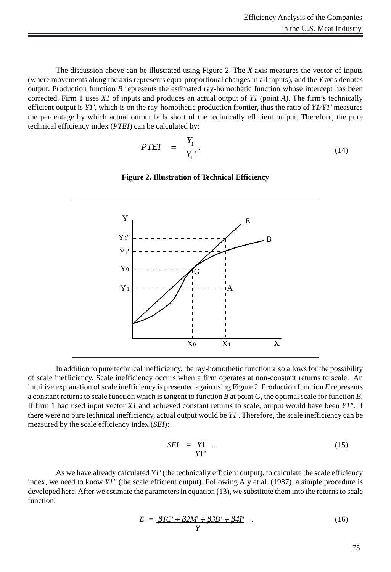The discussion above can be illustrated using Figure 2. The *X* axis measures the vector of inputs (where movements along the axis represents equa-proportional changes in all inputs), and the *Y* axis denotes output. Production function *B* represents the estimated ray-homothetic function whose intercept has been corrected. Firm 1 uses *X1* of inputs and produces an actual output of *Y1* (point *A*). The firm's technically efficient output is *Y1'*, which is on the ray-homothetic production frontier, thus the ratio of *Y1/Y1'* measures the percentage by which actual output falls short of the technically efficient output. Therefore, the pure technical efficiency index (*PTEI*) can be calculated by:

$$
PTEI = \frac{Y_1}{Y_1}.
$$
\n(14)

### **Figure 2. Illustration of Technical Efficiency**



In addition to pure technical inefficiency, the ray-homothetic function also allows for the possibility of scale inefficiency. Scale inefficiency occurs when a firm operates at non-constant returns to scale. An intuitive explanation of scale inefficiency is presented again using Figure 2. Production function *E* represents a constant returns to scale function which is tangent to function *B* at point *G*, the optimal scale for function *B*. If firm 1 had used input vector *X1* and achieved constant returns to scale, output would have been *Y1"*. If there were no pure technical inefficiency, actual output would be *Y1'*. Therefore, the scale inefficiency can be measured by the scale efficiency index (*SEI*):

$$
SEI = \underline{Y}1' . \tag{15}
$$

As we have already calculated *Y1'* (the technically efficient output), to calculate the scale efficiency index, we need to know *Y1"* (the scale efficient output). Following Aly et al. (1987), a simple procedure is developed here. After we estimate the parameters in equation (13), we substitute them into the returns to scale function:

$$
E = \underline{\beta 1}C' + \underline{\beta 2}M' + \underline{\beta 3}D' + \underline{\beta 4}I'
$$
 (16)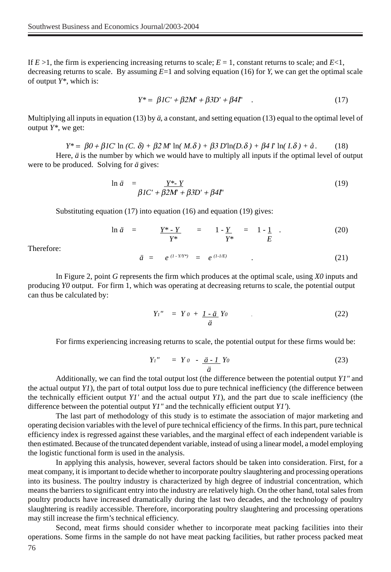If  $E > 1$ , the firm is experiencing increasing returns to scale;  $E = 1$ , constant returns to scale; and  $E < 1$ , decreasing returns to scale. By assuming *E*=1 and solving equation (16) for *Y,* we can get the optimal scale of output *Y\**, which is:

$$
Y^* = \beta IC' + \beta 2M' + \beta 3D' + \beta 4I' \quad . \tag{17}
$$

Multiplying all inputs in equation (13) by *ä*, a constant, and setting equation (13) equal to the optimal level of output *Y\**, we get:

$$
Y^* = \beta 0 + \beta 1 C \ln (C, \delta) + \beta 2 M \ln (M, \delta) + \beta 3 D \ln (D, \delta) + \beta 4 T \ln (I, \delta) + \hat{a}.
$$
 (18)

Here, *ä* is the number by which we would have to multiply all inputs if the optimal level of output were to be produced. Solving for *ä* gives:

$$
\ln \ddot{a} = \frac{Y^* \cdot Y}{\beta I C' + \beta 2M' + \beta 3D' + \beta 4\Gamma'}
$$
(19)

Substituting equation (17) into equation (16) and equation (19) gives:

$$
\ln \ddot{a} = \frac{Y^* \cdot Y}{Y^*} = 1 - \frac{Y}{Y^*} = 1 - \frac{1}{E} \tag{20}
$$

Therefore:

$$
\ddot{a} = e^{(1 - Y/Y^*)} = e^{(1 - I/E)} \tag{21}
$$

In Figure 2, point *G* represents the firm which produces at the optimal scale, using *X0* inputs and producing *Y0* output. For firm 1, which was operating at decreasing returns to scale, the potential output can thus be calculated by:

$$
Y_I'' = Y o + \underline{I - \ddot{a}} Y o \qquad . \tag{22}
$$

For firms experiencing increasing returns to scale, the potential output for these firms would be:

$$
Y_1'' = Y_0 - \underline{\ddot{a} \cdot I} Y_0 \tag{23}
$$

Additionally, we can find the total output lost (the difference between the potential output *Y1"* and the actual output *Y1*), the part of total output loss due to pure technical inefficiency (the difference between the technically efficient output *Y1'* and the actual output *Y1*), and the part due to scale inefficiency (the difference between the potential output *Y1"* and the technically efficient output *Y1'*).

The last part of methodology of this study is to estimate the association of major marketing and operating decision variables with the level of pure technical efficiency of the firms. In this part, pure technical efficiency index is regressed against these variables, and the marginal effect of each independent variable is then estimated. Because of the truncated dependent variable, instead of using a linear model, a model employing the logistic functional form is used in the analysis.

In applying this analysis, however, several factors should be taken into consideration. First, for a meat company, it is important to decide whether to incorporate poultry slaughtering and processing operations into its business. The poultry industry is characterized by high degree of industrial concentration, which means the barriers to significant entry into the industry are relatively high. On the other hand, total sales from poultry products have increased dramatically during the last two decades, and the technology of poultry slaughtering is readily accessible. Therefore, incorporating poultry slaughtering and processing operations may still increase the firm's technical efficiency.

76 Second, meat firms should consider whether to incorporate meat packing facilities into their operations. Some firms in the sample do not have meat packing facilities, but rather process packed meat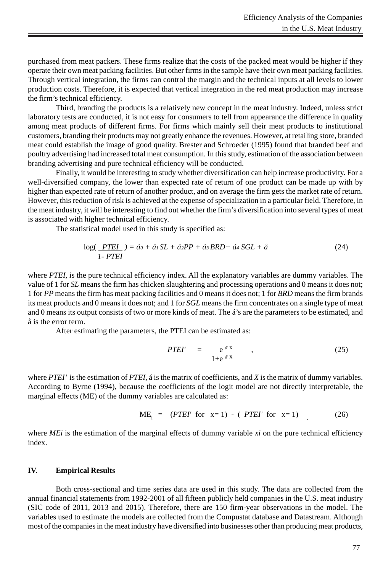purchased from meat packers. These firms realize that the costs of the packed meat would be higher if they operate their own meat packing facilities. But other firms in the sample have their own meat packing facilities. Through vertical integration, the firms can control the margin and the technical inputs at all levels to lower production costs. Therefore, it is expected that vertical integration in the red meat production may increase the firm's technical efficiency.

Third, branding the products is a relatively new concept in the meat industry. Indeed, unless strict laboratory tests are conducted, it is not easy for consumers to tell from appearance the difference in quality among meat products of different firms. For firms which mainly sell their meat products to institutional customers, branding their products may not greatly enhance the revenues. However, at retailing store, branded meat could establish the image of good quality. Brester and Schroeder (1995) found that branded beef and poultry advertising had increased total meat consumption. In this study, estimation of the association between branding advertising and pure technical efficiency will be conducted.

Finally, it would be interesting to study whether diversification can help increase productivity. For a well-diversified company, the lower than expected rate of return of one product can be made up with by higher than expected rate of return of another product, and on average the firm gets the market rate of return. However, this reduction of risk is achieved at the expense of specialization in a particular field. Therefore, in the meat industry, it will be interesting to find out whether the firm's diversification into several types of meat is associated with higher technical efficiency.

The statistical model used in this study is specified as:

$$
\log(\underline{PTEI}) = \hat{a}_0 + \hat{a}_1 SL + \hat{a}_2 PP + \hat{a}_3 BRD + \hat{a}_4 SCL + \hat{a}
$$
\n
$$
1 - PTEI \tag{24}
$$

where *PTEI*, is the pure technical efficiency index. All the explanatory variables are dummy variables. The value of 1 for *SL* means the firm has chicken slaughtering and processing operations and 0 means it does not; 1 for *PP* means the firm has meat packing facilities and 0 means it does not; 1 for *BRD* means the firm brands its meat products and 0 means it does not; and 1 for *SGL* means the firm concentrates on a single type of meat and 0 means its output consists of two or more kinds of meat. The á's are the parameters to be estimated, and å is the error term.

After estimating the parameters, the PTEI can be estimated as:

$$
PTEI' = \underbrace{e^{a^{\prime}X}}_{1+e^{a^{\prime}X}} , \qquad (25)
$$

where *PTEI'* is the estimation of *PTEI*, á is the matrix of coefficients, and *X* is the matrix of dummy variables. According to Byrne (1994), because the coefficients of the logit model are not directly interpretable, the marginal effects (ME) of the dummy variables are calculated as:

$$
ME_{i} = (PTEI' \text{ for } x=1) - (PTEI' \text{ for } x=1)
$$
 (26)

where *MEi* is the estimation of the marginal effects of dummy variable *xi* on the pure technical efficiency index.

#### **IV. Empirical Results**

Both cross-sectional and time series data are used in this study. The data are collected from the annual financial statements from 1992-2001 of all fifteen publicly held companies in the U.S. meat industry (SIC code of 2011, 2013 and 2015). Therefore, there are 150 firm-year observations in the model. The variables used to estimate the models are collected from the Compustat database and Datastream. Although most of the companies in the meat industry have diversified into businesses other than producing meat products,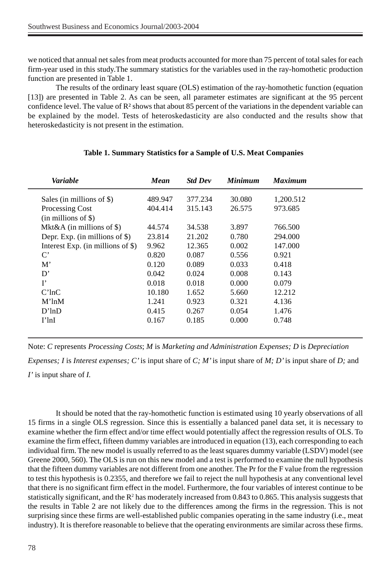we noticed that annual net sales from meat products accounted for more than 75 percent of total sales for each firm-year used in this study.The summary statistics for the variables used in the ray-homothetic production function are presented in Table 1.

The results of the ordinary least square (OLS) estimation of the ray-homothetic function (equation [13]) are presented in Table 2. As can be seen, all parameter estimates are significant at the 95 percent confidence level. The value of  $\mathbb{R}^2$  shows that about 85 percent of the variations in the dependent variable can be explained by the model. Tests of heteroskedasticity are also conducted and the results show that heteroskedasticity is not present in the estimation.

| Variable                            | Mean    | <b>Std Dev</b> | <b>Minimum</b> | <b>Maximum</b> |
|-------------------------------------|---------|----------------|----------------|----------------|
| Sales (in millions of \$)           | 489.947 | 377.234        | 30.080         | 1,200.512      |
| Processing Cost                     | 404.414 | 315.143        | 26.575         | 973.685        |
| $(in$ millions of \$)               |         |                |                |                |
| Mkt&A (in millions of $\$\$ )       | 44.574  | 34.538         | 3.897          | 766.500        |
| Depr. Exp. (in millions of $\$ )    | 23.814  | 21.202         | 0.780          | 294.000        |
| Interest Exp. (in millions of $\$ ) | 9.962   | 12.365         | 0.002          | 147,000        |
| $\mathbf{C}^*$                      | 0.820   | 0.087          | 0.556          | 0.921          |
| M'                                  | 0.120   | 0.089          | 0.033          | 0.418          |
| D'                                  | 0.042   | 0.024          | 0.008          | 0.143          |
| $\mathbf{I}^{\bullet}$              | 0.018   | 0.018          | 0.000          | 0.079          |
| $C'$ ln $C$                         | 10.180  | 1.652          | 5.660          | 12.212         |
| $M'$ ln $M$                         | 1.241   | 0.923          | 0.321          | 4.136          |
| D'lnD                               | 0.415   | 0.267          | 0.054          | 1.476          |
| $I'$ ln $I$                         | 0.167   | 0.185          | 0.000          | 0.748          |
|                                     |         |                |                |                |

### **Table 1. Summary Statistics for a Sample of U.S. Meat Companies**

Note: *C* represents *Processing Costs*; *M* is *Marketing and Administration Expenses; D* is *Depreciation*

*Expenses; I* is *Interest expenses; C'* is input share of *C; M'* is input share of *M; D'* is input share of *D;* and *I'* is input share of *I.*

It should be noted that the ray-homothetic function is estimated using 10 yearly observations of all 15 firms in a single OLS regression. Since this is essentially a balanced panel data set, it is necessary to examine whether the firm effect and/or time effect would potentially affect the regression results of OLS. To examine the firm effect, fifteen dummy variables are introduced in equation (13), each corresponding to each individual firm. The new model is usually referred to as the least squares dummy variable (LSDV) model (see Greene 2000, 560). The OLS is run on this new model and a test is performed to examine the null hypothesis that the fifteen dummy variables are not different from one another. The Pr for the F value from the regression to test this hypothesis is 0.2355, and therefore we fail to reject the null hypothesis at any conventional level that there is no significant firm effect in the model. Furthermore, the four variables of interest continue to be statistically significant, and the  $\mathbb{R}^2$  has moderately increased from 0.843 to 0.865. This analysis suggests that the results in Table 2 are not likely due to the differences among the firms in the regression. This is not surprising since these firms are well-established public companies operating in the same industry (i.e., meat industry). It is therefore reasonable to believe that the operating environments are similar across these firms.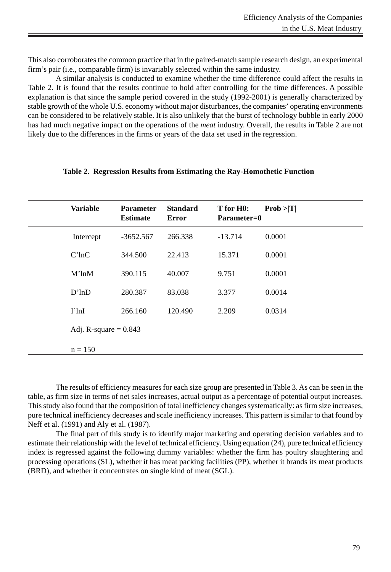This also corroborates the common practice that in the paired-match sample research design, an experimental firm's pair (i.e., comparable firm) is invariably selected within the same industry.

A similar analysis is conducted to examine whether the time difference could affect the results in Table 2. It is found that the results continue to hold after controlling for the time differences. A possible explanation is that since the sample period covered in the study (1992-2001) is generally characterized by stable growth of the whole U.S. economy without major disturbances, the companies' operating environments can be considered to be relatively stable. It is also unlikely that the burst of technology bubble in early 2000 has had much negative impact on the operations of the *meat* industry. Overall, the results in Table 2 are not likely due to the differences in the firms or years of the data set used in the regression.

| <b>Variable</b>         | <b>Parameter</b><br><b>Estimate</b> | <b>Standard</b><br><b>Error</b> | T for H <sub>0</sub> :<br>Parameter=0 | Prob >  T |
|-------------------------|-------------------------------------|---------------------------------|---------------------------------------|-----------|
| Intercept               | $-3652.567$                         | 266.338                         | $-13.714$                             | 0.0001    |
| $C'$ ln $C$             | 344.500                             | 22.413                          | 15.371                                | 0.0001    |
| $M'$ ln $M$             | 390.115                             | 40.007                          | 9.751                                 | 0.0001    |
| D'lnD                   | 280.387                             | 83.038                          | 3.377                                 | 0.0014    |
| $I'$ lnI                | 266.160                             | 120.490                         | 2.209                                 | 0.0314    |
| Adj. R-square $= 0.843$ |                                     |                                 |                                       |           |
| $n = 150$               |                                     |                                 |                                       |           |

### **Table 2. Regression Results from Estimating the Ray-Homothetic Function**

The results of efficiency measures for each size group are presented in Table 3. As can be seen in the table, as firm size in terms of net sales increases, actual output as a percentage of potential output increases. This study also found that the composition of total inefficiency changes systematically: as firm size increases, pure technical inefficiency decreases and scale inefficiency increases. This pattern is similar to that found by Neff et al. (1991) and Aly et al. (1987).

The final part of this study is to identify major marketing and operating decision variables and to estimate their relationship with the level of technical efficiency. Using equation (24), pure technical efficiency index is regressed against the following dummy variables: whether the firm has poultry slaughtering and processing operations (SL), whether it has meat packing facilities (PP), whether it brands its meat products (BRD), and whether it concentrates on single kind of meat (SGL).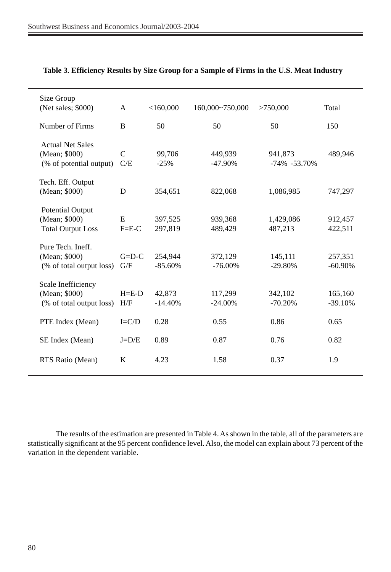| Size Group<br>(Net sales; \$000)                                     | A                | $<$ 160,000          | 160,000~750,000       | >750,000                    | Total                 |
|----------------------------------------------------------------------|------------------|----------------------|-----------------------|-----------------------------|-----------------------|
| Number of Firms                                                      | B                | 50                   | 50                    | 50                          | 150                   |
| <b>Actual Net Sales</b><br>(Mean; \$000)<br>(% of potential output)  | C<br>C/E         | 99,706<br>$-25%$     | 449,939<br>$-47.90\%$ | 941,873<br>$-74\% -53.70\%$ | 489,946               |
| Tech. Eff. Output<br>(Mean; \$000)                                   | D                | 354,651              | 822,068               | 1,086,985                   | 747,297               |
| <b>Potential Output</b><br>(Mean; \$000)<br><b>Total Output Loss</b> | E<br>$F= E-C$    | 397,525<br>297,819   | 939,368<br>489,429    | 1,429,086<br>487,213        | 912,457<br>422,511    |
| Pure Tech. Ineff.<br>(Mean; \$000)<br>(% of total output loss)       | $G=D-C$<br>G/F   | 254,944<br>$-85.60%$ | 372,129<br>$-76.00\%$ | 145,111<br>$-29.80%$        | 257,351<br>$-60.90\%$ |
| Scale Inefficiency<br>(Mean; \$000)<br>(% of total output loss)      | $H = E-D$<br>H/F | 42,873<br>$-14.40%$  | 117,299<br>$-24.00\%$ | 342,102<br>$-70.20%$        | 165,160<br>$-39.10%$  |
| PTE Index (Mean)                                                     | $I=C/D$          | 0.28                 | 0.55                  | 0.86                        | 0.65                  |
| SE Index (Mean)                                                      | $J=D/E$          | 0.89                 | 0.87                  | 0.76                        | 0.82                  |
| RTS Ratio (Mean)                                                     | K                | 4.23                 | 1.58                  | 0.37                        | 1.9                   |

# **Table 3. Efficiency Results by Size Group for a Sample of Firms in the U.S. Meat Industry**

The results of the estimation are presented in Table 4. As shown in the table, all of the parameters are statistically significant at the 95 percent confidence level. Also, the model can explain about 73 percent of the variation in the dependent variable.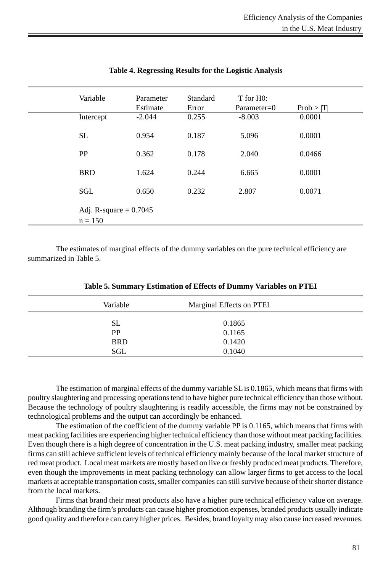| Variable                              | Parameter<br>Estimate | Standard<br>Error | T for H <sub>0</sub> :<br>Parameter=0 | Prob >  T |
|---------------------------------------|-----------------------|-------------------|---------------------------------------|-----------|
| Intercept                             | $-2.044$              | 0.255             | $-8.003$                              | 0.0001    |
| <b>SL</b>                             | 0.954                 | 0.187             | 5.096                                 | 0.0001    |
| <b>PP</b>                             | 0.362                 | 0.178             | 2.040                                 | 0.0466    |
| <b>BRD</b>                            | 1.624                 | 0.244             | 6.665                                 | 0.0001    |
| <b>SGL</b>                            | 0.650                 | 0.232             | 2.807                                 | 0.0071    |
| Adj. R-square $= 0.7045$<br>$n = 150$ |                       |                   |                                       |           |

# **Table 4. Regressing Results for the Logistic Analysis**

The estimates of marginal effects of the dummy variables on the pure technical efficiency are summarized in Table 5.

| Variable   | Marginal Effects on PTEI |  |
|------------|--------------------------|--|
| SL         | 0.1865                   |  |
| <b>PP</b>  | 0.1165                   |  |
| <b>BRD</b> | 0.1420                   |  |
| <b>SGL</b> | 0.1040                   |  |

**Table 5. Summary Estimation of Effects of Dummy Variables on PTEI**

The estimation of marginal effects of the dummy variable SL is 0.1865, which means that firms with poultry slaughtering and processing operations tend to have higher pure technical efficiency than those without. Because the technology of poultry slaughtering is readily accessible, the firms may not be constrained by technological problems and the output can accordingly be enhanced.

The estimation of the coefficient of the dummy variable PP is 0.1165, which means that firms with meat packing facilities are experiencing higher technical efficiency than those without meat packing facilities. Even though there is a high degree of concentration in the U.S. meat packing industry, smaller meat packing firms can still achieve sufficient levels of technical efficiency mainly because of the local market structure of red meat product. Local meat markets are mostly based on live or freshly produced meat products. Therefore, even though the improvements in meat packing technology can allow larger firms to get access to the local markets at acceptable transportation costs, smaller companies can still survive because of their shorter distance from the local markets.

Firms that brand their meat products also have a higher pure technical efficiency value on average. Although branding the firm's products can cause higher promotion expenses, branded products usually indicate good quality and therefore can carry higher prices. Besides, brand loyalty may also cause increased revenues.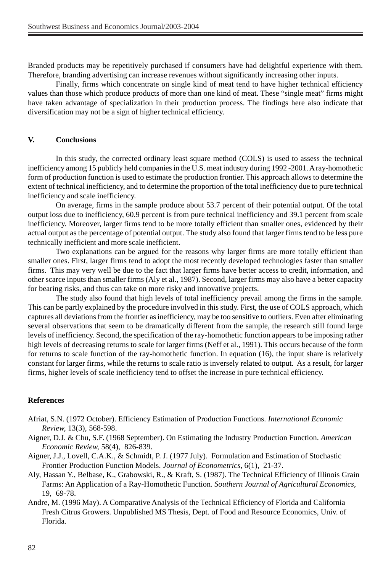Branded products may be repetitively purchased if consumers have had delightful experience with them. Therefore, branding advertising can increase revenues without significantly increasing other inputs.

Finally, firms which concentrate on single kind of meat tend to have higher technical efficiency values than those which produce products of more than one kind of meat. These "single meat" firms might have taken advantage of specialization in their production process. The findings here also indicate that diversification may not be a sign of higher technical efficiency.

### **V. Conclusions**

In this study, the corrected ordinary least square method (COLS) is used to assess the technical inefficiency among 15 publicly held companies in the U.S. meat industry during 1992 -2001. A ray-homothetic form of production function is used to estimate the production frontier. This approach allows to determine the extent of technical inefficiency, and to determine the proportion of the total inefficiency due to pure technical inefficiency and scale inefficiency.

On average, firms in the sample produce about 53.7 percent of their potential output. Of the total output loss due to inefficiency, 60.9 percent is from pure technical inefficiency and 39.1 percent from scale inefficiency. Moreover, larger firms tend to be more totally efficient than smaller ones, evidenced by their actual output as the percentage of potential output. The study also found that larger firms tend to be less pure technically inefficient and more scale inefficient.

Two explanations can be argued for the reasons why larger firms are more totally efficient than smaller ones. First, larger firms tend to adopt the most recently developed technologies faster than smaller firms. This may very well be due to the fact that larger firms have better access to credit, information, and other scarce inputs than smaller firms (Aly et al., 1987). Second, larger firms may also have a better capacity for bearing risks, and thus can take on more risky and innovative projects.

The study also found that high levels of total inefficiency prevail among the firms in the sample. This can be partly explained by the procedure involved in this study. First, the use of COLS approach, which captures all deviations from the frontier as inefficiency, may be too sensitive to outliers. Even after eliminating several observations that seem to be dramatically different from the sample, the research still found large levels of inefficiency. Second, the specification of the ray-homothetic function appears to be imposing rather high levels of decreasing returns to scale for larger firms (Neff et al., 1991). This occurs because of the form for returns to scale function of the ray-homothetic function. In equation (16), the input share is relatively constant for larger firms, while the returns to scale ratio is inversely related to output. As a result, for larger firms, higher levels of scale inefficiency tend to offset the increase in pure technical efficiency.

### **References**

- Afriat, S.N. (1972 October). Efficiency Estimation of Production Functions. *International Economic Review,* 13(3), 568-598.
- Aigner, D.J. & Chu, S.F. (1968 September). On Estimating the Industry Production Function. *American Economic Review,* 58(4), 826-839.
- Aigner, J.J., Lovell, C.A.K., & Schmidt, P. J. (1977 July). Formulation and Estimation of Stochastic Frontier Production Function Models. *Journal of Econometrics,* 6(1), 21-37.
- Aly, Hassan Y., Belbase, K., Grabowski, R., & Kraft, S. (1987). The Technical Efficiency of Illinois Grain Farms: An Application of a Ray-Homothetic Function. *Southern Journal of Agricultural Economics,* 19, 69-78.
- Andre, M. (1996 May). A Comparative Analysis of the Technical Efficiency of Florida and California Fresh Citrus Growers. Unpublished MS Thesis, Dept. of Food and Resource Economics, Univ. of Florida.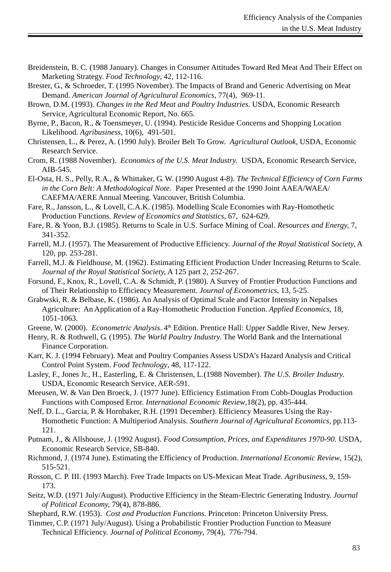- Breidenstein, B. C. (1988 January). Changes in Consumer Attitudes Toward Red Meat And Their Effect on Marketing Strategy. *Food Technology*, 42, 112-116.
- Brester, G., & Schroeder, T. (1995 November). The Impacts of Brand and Generic Advertising on Meat Demand. *American Journal of Agricultural Economics,* 77(4), 969-11.
- Brown, D.M. (1993). *Changes in the Red Meat and Poultry Industries.* USDA, Economic Research Service, Agricultural Economic Report, No. 665.
- Byrne, P., Bacon, R., & Toensmeyer, U. (1994). Pesticide Residue Concerns and Shopping Location Likelihood. *Agribusiness,* 10(6), 491-501.
- Christensen, L., & Perez, A. (1990 July). Broiler Belt To Grow. *Agricultural Outlook,* USDA, Economic Research Service.
- Crom, R. (1988 November). *Economics of the U.S. Meat Industry.* USDA, Economic Research Service, AIB-545.
- El-Osta, H. S., Pelly, R.A., & Whittaker, G. W. (1990 August 4-8). *The Technical Efficiency of Corn Farms in the Corn Belt: A Methodological Note*. Paper Presented at the 1990 Joint AAEA/WAEA/ CAEFMA/AERE Annual Meeting. Vancouver, British Columbia.
- Fare, R., Jansson, L., & Lovell, C.A.K. (1985). Modelling Scale Economies with Ray-Homothetic Production Functions. *Review of Economics and Statistics,* 67, 624-629.
- Fare, R. & Yoon, B.J. (1985). Returns to Scale in U.S. Surface Mining of Coal. *Resources and Energy,* 7, 341-352.
- Farrell, M.J. (1957). The Measurement of Productive Efficiency. *Journal of the Royal Statistical Society,* A 120, pp. 253-281.
- Farrell, M.J. & Fieldhouse, M. (1962). Estimating Efficient Production Under Increasing Returns to Scale. *Journal of the Royal Statistical Society,* A 125 part 2, 252-267.
- Forsund, F., Knox, R., Lovell, C.A. & Schmidt, P. (1980). A Survey of Frontier Production Functions and of Their Relationship to Efficiency Measurement. *Journal of Econometrics,* 13, 5-25.
- Grabwski, R. & Belbase, K. (1986). An Analysis of Optimal Scale and Factor Intensity in Nepalses Agriculture: An Application of a Ray-Homothetic Production Function. *Applied Economics,* 18, 1051-1063.
- Greene, W. (2000). *Econometric Analysis*. 4<sup>th</sup> Edition. Prentice Hall: Upper Saddle River, New Jersey.
- Henry, R. & Rothwell, G. (1995). *The World Poultry Industry.* The World Bank and the International Finance Corporation.
- Karr, K. J. (1994 February). Meat and Poultry Companies Assess USDA's Hazard Analysis and Critical Control Point System. *Food Technology*, 48, 117-122.
- Lasley, F., Jones Jr., H., Easterling, E. & Christensen, L.(1988 November). *The U.S. Broiler Industry.* USDA, Economic Research Service, AER-591.
- Meeusen, W. & Van Den Broeck, J. (1977 June). Efficiency Estimation From Cobb-Douglas Production Functions with Composed Error. *International Economic Review*,18(2), pp. 435-444.
- Neff, D. L., Garcia, P. & Hornbaker, R.H. (1991 December). Efficiency Measures Using the Ray-Homothetic Function: A Multiperiod Analysis. *Southern Journal of Agricultural Economics*, pp.113- 121.
- Putnam, J., & Allshouse, J. (1992 August). *Food Consumption, Prices, and Expenditures 1970-90.* USDA, Economic Research Service, SB-840.
- Richmond, J. (1974 June). Estimating the Efficiency of Production. *International Economic Review*, 15(2), 515-521.
- Rosson, C. P. III. (1993 March). Free Trade Impacts on US-Mexican Meat Trade. *Agribusiness*, 9, 159- 173.
- Seitz, W.D. (1971 July/August). Productive Efficiency in the Steam-Electric Generating Industry. *Journal of Political Economy,* 79(4), 878-886.
- Shephard, R.W. (1953). *Cost and Production Functions.* Princeton: Princeton University Press.
- Timmer, C.P. (1971 July/August). Using a Probabilistic Frontier Production Function to Measure Technical Efficiency. *Journal of Political Economy*, 79(4), 776-794.